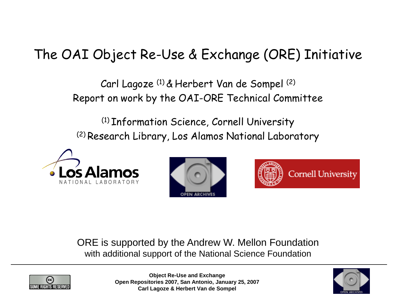# The OAI Object Re-Use & Exchange (ORE) Initiative

Carl Lagoze (1) & Herbert Van de Sompel (2) Report on work by the OAI-ORE Technical Committee

(1) Information Science, Cornell University (2) Research Library, Los Alamos National Laboratory







ORE is supported by the Andrew W. Mellon Foundation with additional support of the National Science Foundation



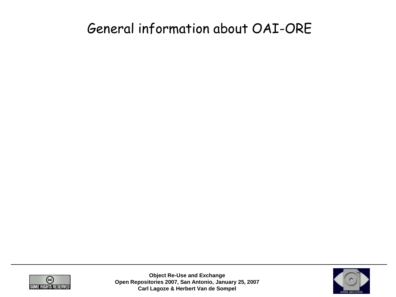#### General information about OAI-ORE



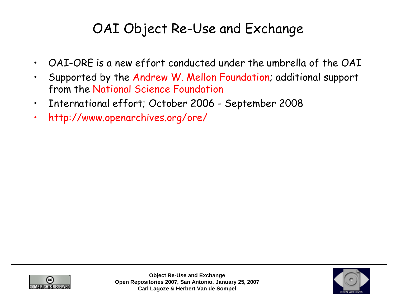# OAI Object Re-Use and Exchange

- OAI-ORE is a new effort conducted under the umbrella of the OAI
- Supported by the Andrew W. Mellon Foundation; additional support from the National Science Foundation
- International effort; October 2006 September 2008
- http://www.openarchives.org/ore/



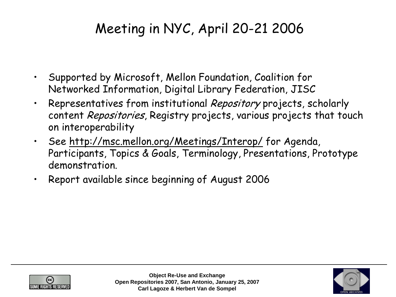# Meeting in NYC, April 20-21 2006

- Supported by Microsoft, Mellon Foundation, Coalition for Networked Information, Digital Library Federation, JISC
- Representatives from institutional Repository projects, scholarly content Repositories, Registry projects, various projects that touch on interoperability
- See <http://msc.mellon.org/Meetings/Interop/> for Agenda, Participants, Topics & Goals, Terminology, Presentations, Prototype demonstration.
- Report available since beginning of August 2006



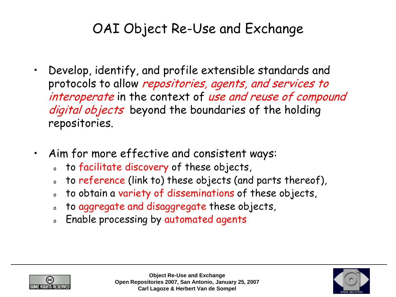# OAI Object Re-Use and Exchange

- Develop, identify, and profile extensible standards and protocols to allow repositories, agents, and services to interoperate in the context of use and reuse of compound digital objects beyond the boundaries of the holding repositories.
- Aim for more effective and consistent ways:
	- o to facilitate discovery of these objects,
	- to reference (link to) these objects (and parts thereof),
	- to obtain a variety of disseminations of these objects,
	- o to aggregate and disaggregate these objects,
	- Enable processing by automated agents



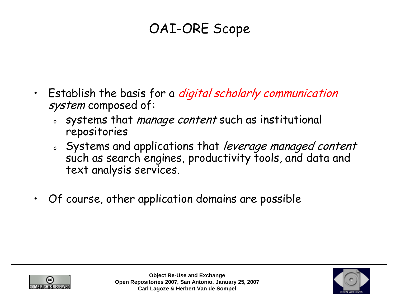# OAI-ORE Scope

- Establish the basis for a *digital scholarly communication* system composed of:
	- systems that *manage content* such as institutional repositories
	- o Systems and applications that leverage managed content such as search engines, productivity tools, and data and text analysis services.
- Of course, other application domains are possible



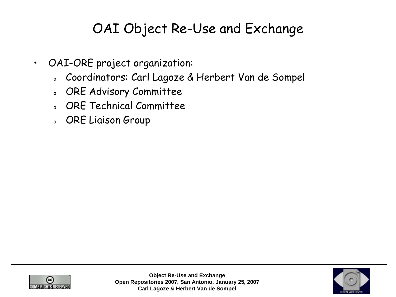# OAI Object Re-Use and Exchange

- OAI-ORE project organization:
	- <sup>o</sup> Coordinators: Carl Lagoze & Herbert Van de Sompel
	- <sup>o</sup> ORE Advisory Committee
	- <sup>o</sup> ORE Technical Committee
	- <sup>o</sup> ORE Liaison Group



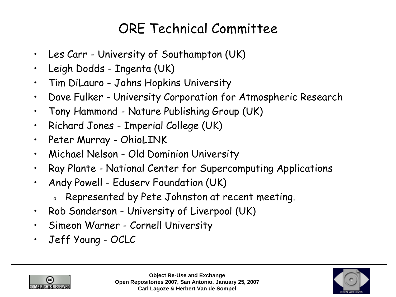# ORE Technical Committee

- Les Carr University of Southampton (UK)
- Leigh Dodds Ingenta (UK)
- Tim DiLauro Johns Hopkins University
- Dave Fulker University Corporation for Atmospheric Research
- Tony Hammond Nature Publishing Group (UK)
- Richard Jones Imperial College (UK)
- Peter Murray OhioLINK
- Michael Nelson Old Dominion University
- Ray Plante National Center for Supercomputing Applications
- Andy Powell Eduserv Foundation (UK)
	- Represented by Pete Johnston at recent meeting.
- Rob Sanderson University of Liverpool (UK)
- Simeon Warner Cornell University
- Jeff Young OCLC



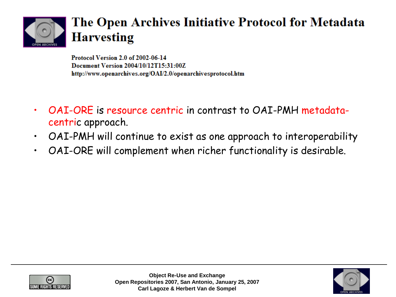

#### The Open Archives Initiative Protocol for Metadata **Harvesting**

Protocol Version 2.0 of 2002-06-14 Document Version 2004/10/12T15:31:00Z http://www.openarchives.org/OAI/2.0/openarchivesprotocol.htm

- OAI-ORE is resource centric in contrast to OAI-PMH metadatacentric approach.
- OAI-PMH will continue to exist as one approach to interoperability
- OAI-ORE will complement when richer functionality is desirable.



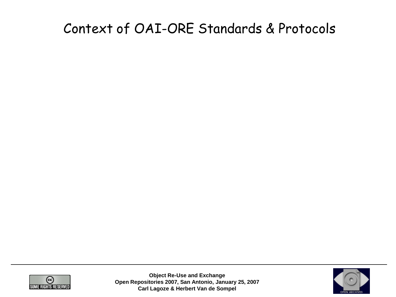### Context of OAI-ORE Standards & Protocols



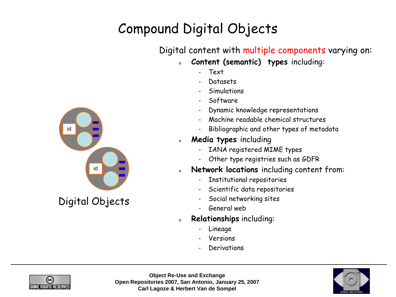# Compound Digital Objects

#### Digital content with multiple components varying on:

- <sup>o</sup> **Content (semantic) types** including:
	- Text
	- Datasets
	- **Simulations**
	- Software
	- Dynamic knowledge representations
	- Machine readable chemical structures
	- Bibliographic and other types of metadata
- **Media types including** 
	- IANA registered MIME types
	- Other type registries such as GDFR
- <sup>o</sup> **Network locations** including content from:
	- Institutional repositories
	- Scientific data repositories
	- Social networking sites
	- General web
- Relationships including:
	- Lineage
	- **Versions**
	- **Derivations**







Digital Objects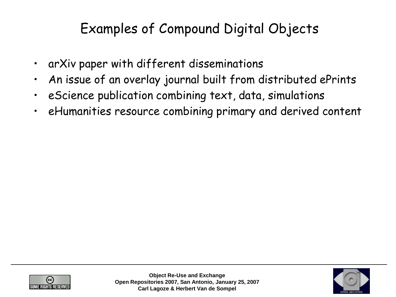# Examples of Compound Digital Objects

- arXiv paper with different disseminations
- An issue of an overlay journal built from distributed ePrints
- eScience publication combining text, data, simulations
- eHumanities resource combining primary and derived content



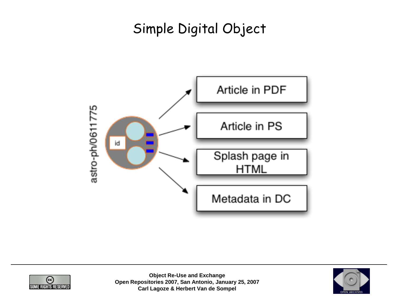# Simple Digital Object





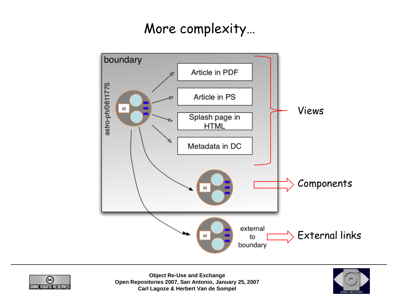#### More complexity…





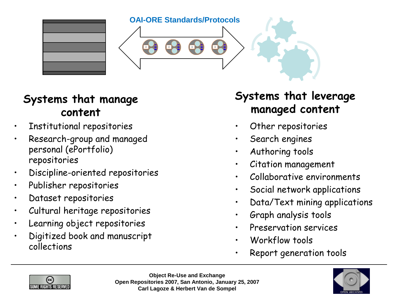





#### **Systems that manage content**

- Institutional repositories
- Research-group and managed personal (ePortfolio) repositories
- Discipline-oriented repositories
- Publisher repositories
- Dataset repositories
- Cultural heritage repositories
- Learning object repositories
- Digitized book and manuscript collections

#### **Systems that leverage managed content**

- Other repositories
- Search engines
- Authoring tools
- Citation management
- Collaborative environments
- Social network applications
- Data/Text mining applications
- Graph analysis tools
- Preservation services
- Workflow tools
- Report generation tools



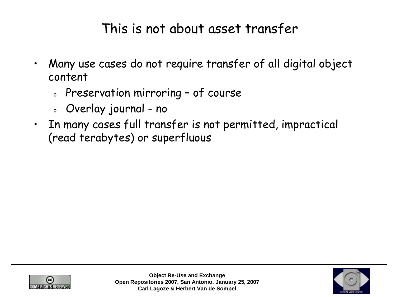#### This is not about asset transfer

- Many use cases do not require transfer of all digital object content
	- o Preservation mirroring of course
	- <sup>o</sup> Overlay journal no
- In many cases full transfer is not permitted, impractical (read terabytes) or superfluous



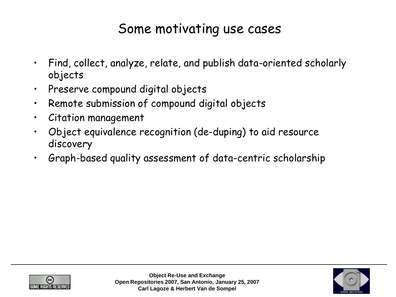#### Some motivating use cases

- Find, collect, analyze, relate, and publish data-oriented scholarly objects
- Preserve compound digital objects
- Remote submission of compound digital objects
- Citation management
- Object equivalence recognition (de-duping) to aid resource discovery
- Graph-based quality assessment of data-centric scholarship



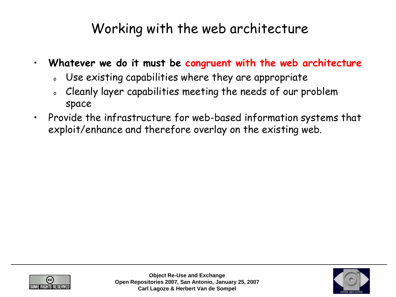### Working with the web architecture

- **Whatever we do it must be congruent with the web architecture**
	- o Use existing capabilities where they are appropriate
	- o Cleanly layer capabilities meeting the needs of our problem space
- Provide the infrastructure for web-based information systems that exploit/enhance and therefore overlay on the existing web.



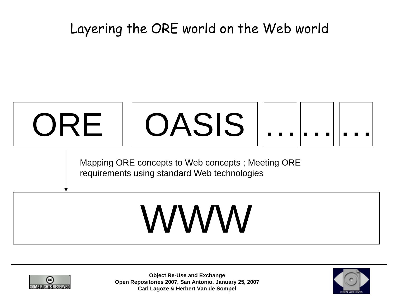### Layering the ORE world on the Web world



requirements using standard Web technologies

# WWW



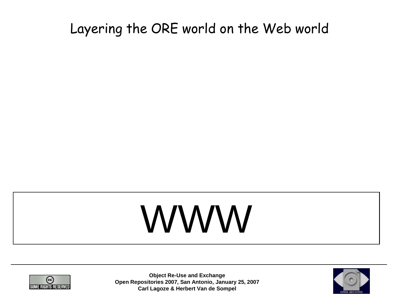### Layering the ORE world on the Web world

# WWW



**Object Re-Use and Exchange Open Repositories 2007, San Antonio, January 25, 2007 Carl Lagoze & Herbert Van de Sompel**

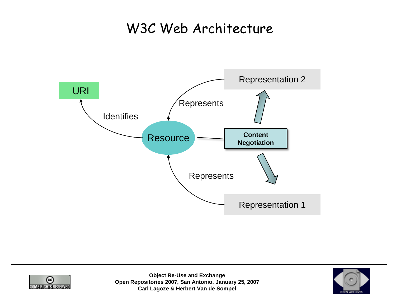#### W3C Web Architecture





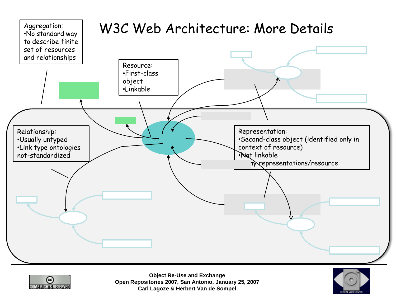



**Object Re-Use and Exchange Open Repositories 2007, San Antonio, January 25, 2007 Carl Lagoze & Herbert Van de Sompel**

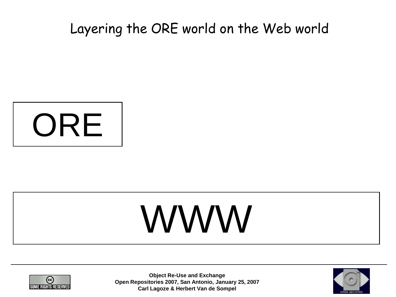#### Layering the ORE world on the Web world



# WWW



**Object Re-Use and Exchange Open Repositories 2007, San Antonio, January 25, 2007 Carl Lagoze & Herbert Van de Sompel**

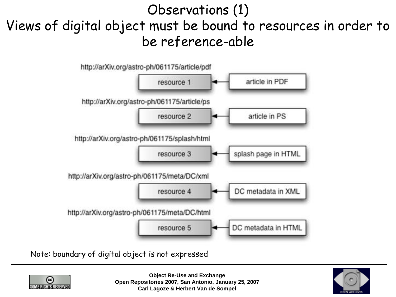## Observations (1) Views of digital object must be bound to resources in order to be reference-able



Note: boundary of digital object is not expressed



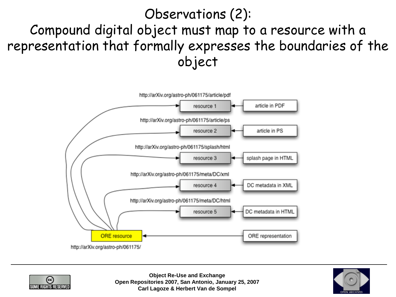### Observations (2): Compound digital object must map to a resource with a representation that formally expresses the boundaries of the object





**Object Re-Use and Exchange Open Repositories 2007, San Antonio, January 25, 2007 Carl Lagoze & Herbert Van de Sompel**

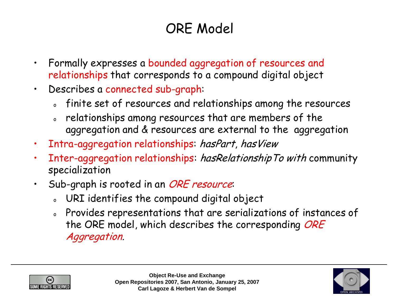# ORE Model

- Formally expresses a bounded aggregation of resources and relationships that corresponds to a compound digital object
- Describes a connected sub-graph:
	- <sup>o</sup> finite set of resources and relationships among the resources
	- relationships among resources that are members of the aggregation and & resources are external to the aggregation
- Intra-aggregation relationships: hasPart, hasView
- Inter-aggregation relationships: has Relationship To with community specialization
- Sub-graph is rooted in an ORE resource:
	- <sup>o</sup> URI identifies the compound digital object
	- <sup>o</sup> Provides representations that are serializations of instances of the ORE model, which describes the corresponding ORE Aggregation.



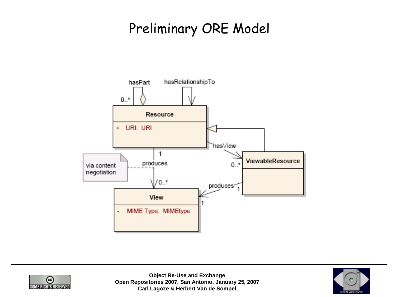## Preliminary ORE Model





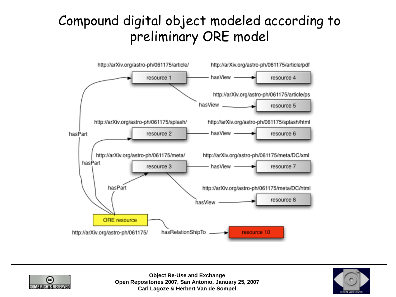# Compound digital object modeled according to preliminary ORE model





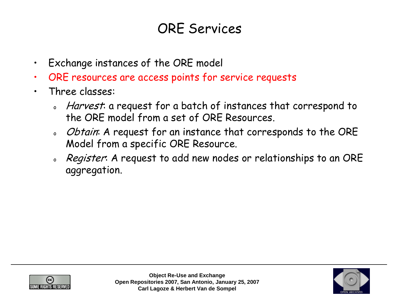#### ORE Services

- Exchange instances of the ORE model
- ORE resources are access points for service requests
- Three classes:
	- Harvest: a request for a batch of instances that correspond to the ORE model from a set of ORE Resources.
	- o Obtain: A request for an instance that corresponds to the ORE Model from a specific ORE Resource.
	- o Register: A request to add new nodes or relationships to an ORE aggregation.



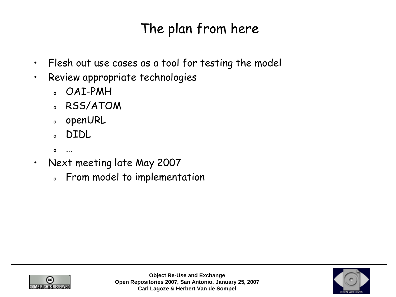# The plan from here

- Flesh out use cases as a tool for testing the model
- Review appropriate technologies
	- <sup>o</sup> OAI-PMH
	- <sup>o</sup> RSS/ATOM
	- <sup>o</sup> openURL
	- <sup>o</sup> DIDL
	- <sup>o</sup> …
- Next meeting late May 2007
	- <sup>o</sup> From model to implementation